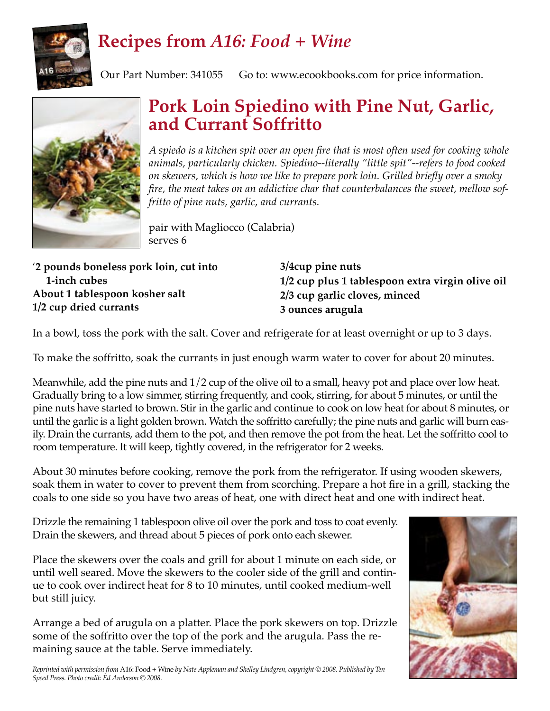

## **Recipes from** *A16: Food + Wine*

Our Part Number: 341055 Go to: www.ecookbooks.com for price information.



## **Pork Loin Spiedino with Pine Nut, Garlic, and Currant Soffritto**

*A spiedo is a kitchen spit over an open fire that is most often used for cooking whole animals, particularly chicken. Spiedino--literally "little spit"--refers to food cooked on skewers, which is how we like to prepare pork loin. Grilled briefly over a smoky fire, the meat takes on an addictive char that counterbalances the sweet, mellow soffritto of pine nuts, garlic, and currants.*

pair with Magliocco (Calabria) serves 6

| '2 pounds boneless pork loin, cut into |
|----------------------------------------|
| 1-inch cubes                           |
| About 1 tablespoon kosher salt         |
| 1/2 cup dried currants                 |

**3/4cup pine nuts 1/2 cup plus 1 tablespoon extra virgin olive oil 2/3 cup garlic cloves, minced 3 ounces arugula**

In a bowl, toss the pork with the salt. Cover and refrigerate for at least overnight or up to 3 days.

To make the soffritto, soak the currants in just enough warm water to cover for about 20 minutes.

Meanwhile, add the pine nuts and 1/2 cup of the olive oil to a small, heavy pot and place over low heat. Gradually bring to a low simmer, stirring frequently, and cook, stirring, for about 5 minutes, or until the pine nuts have started to brown. Stir in the garlic and continue to cook on low heat for about 8 minutes, or until the garlic is a light golden brown. Watch the soffritto carefully; the pine nuts and garlic will burn easily. Drain the currants, add them to the pot, and then remove the pot from the heat. Let the soffritto cool to room temperature. It will keep, tightly covered, in the refrigerator for 2 weeks.

About 30 minutes before cooking, remove the pork from the refrigerator. If using wooden skewers, soak them in water to cover to prevent them from scorching. Prepare a hot fire in a grill, stacking the coals to one side so you have two areas of heat, one with direct heat and one with indirect heat.

Drizzle the remaining 1 tablespoon olive oil over the pork and toss to coat evenly. Drain the skewers, and thread about 5 pieces of pork onto each skewer.

Place the skewers over the coals and grill for about 1 minute on each side, or until well seared. Move the skewers to the cooler side of the grill and continue to cook over indirect heat for 8 to 10 minutes, until cooked medium-well but still juicy.

Arrange a bed of arugula on a platter. Place the pork skewers on top. Drizzle some of the soffritto over the top of the pork and the arugula. Pass the remaining sauce at the table. Serve immediately.



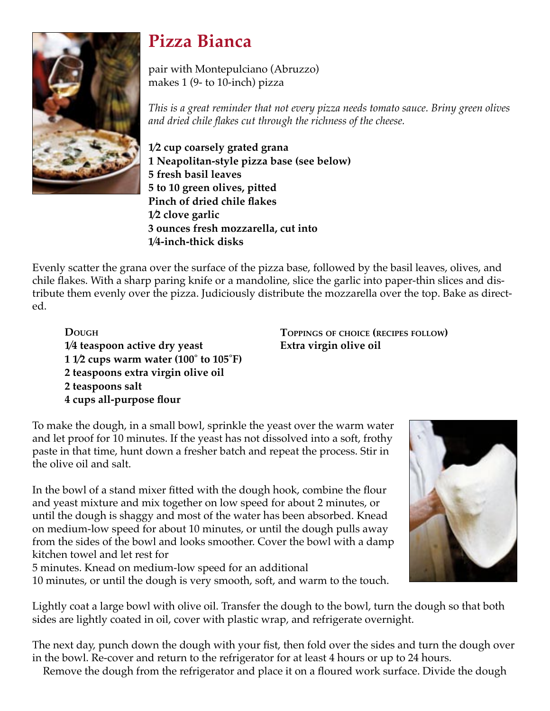

## **Pizza Bianca**

pair with Montepulciano (Abruzzo) makes 1 (9- to 10-inch) pizza

*This is a great reminder that not every pizza needs tomato sauce. Briny green olives and dried chile flakes cut through the richness of the cheese.* 

**1⁄2 cup coarsely grated grana 1 Neapolitan-style pizza base (see below) 5 fresh basil leaves 5 to 10 green olives, pitted Pinch of dried chile flakes 1⁄2 clove garlic 3 ounces fresh mozzarella, cut into 1⁄4-inch-thick disks** 

Evenly scatter the grana over the surface of the pizza base, followed by the basil leaves, olives, and chile flakes. With a sharp paring knife or a mandoline, slice the garlic into paper-thin slices and distribute them evenly over the pizza. Judiciously distribute the mozzarella over the top. Bake as directed.

 **DOUGH 1⁄4 teaspoon active dry yeast 1 1⁄2 cups warm water (100˚ to 105˚F) 2 teaspoons extra virgin olive oil 2 teaspoons salt 4 cups all-purpose flour**

**TOPPINGS OF CHOICE (RECIPES FOLLOW) Extra virgin olive oil**

To make the dough, in a small bowl, sprinkle the yeast over the warm water and let proof for 10 minutes. If the yeast has not dissolved into a soft, frothy paste in that time, hunt down a fresher batch and repeat the process. Stir in the olive oil and salt.

In the bowl of a stand mixer fitted with the dough hook, combine the flour and yeast mixture and mix together on low speed for about 2 minutes, or until the dough is shaggy and most of the water has been absorbed. Knead on medium-low speed for about 10 minutes, or until the dough pulls away from the sides of the bowl and looks smoother. Cover the bowl with a damp kitchen towel and let rest for

5 minutes. Knead on medium-low speed for an additional

10 minutes, or until the dough is very smooth, soft, and warm to the touch.



Lightly coat a large bowl with olive oil. Transfer the dough to the bowl, turn the dough so that both sides are lightly coated in oil, cover with plastic wrap, and refrigerate overnight.

The next day, punch down the dough with your fist, then fold over the sides and turn the dough over in the bowl. Re-cover and return to the refrigerator for at least 4 hours or up to 24 hours.

Remove the dough from the refrigerator and place it on a floured work surface. Divide the dough